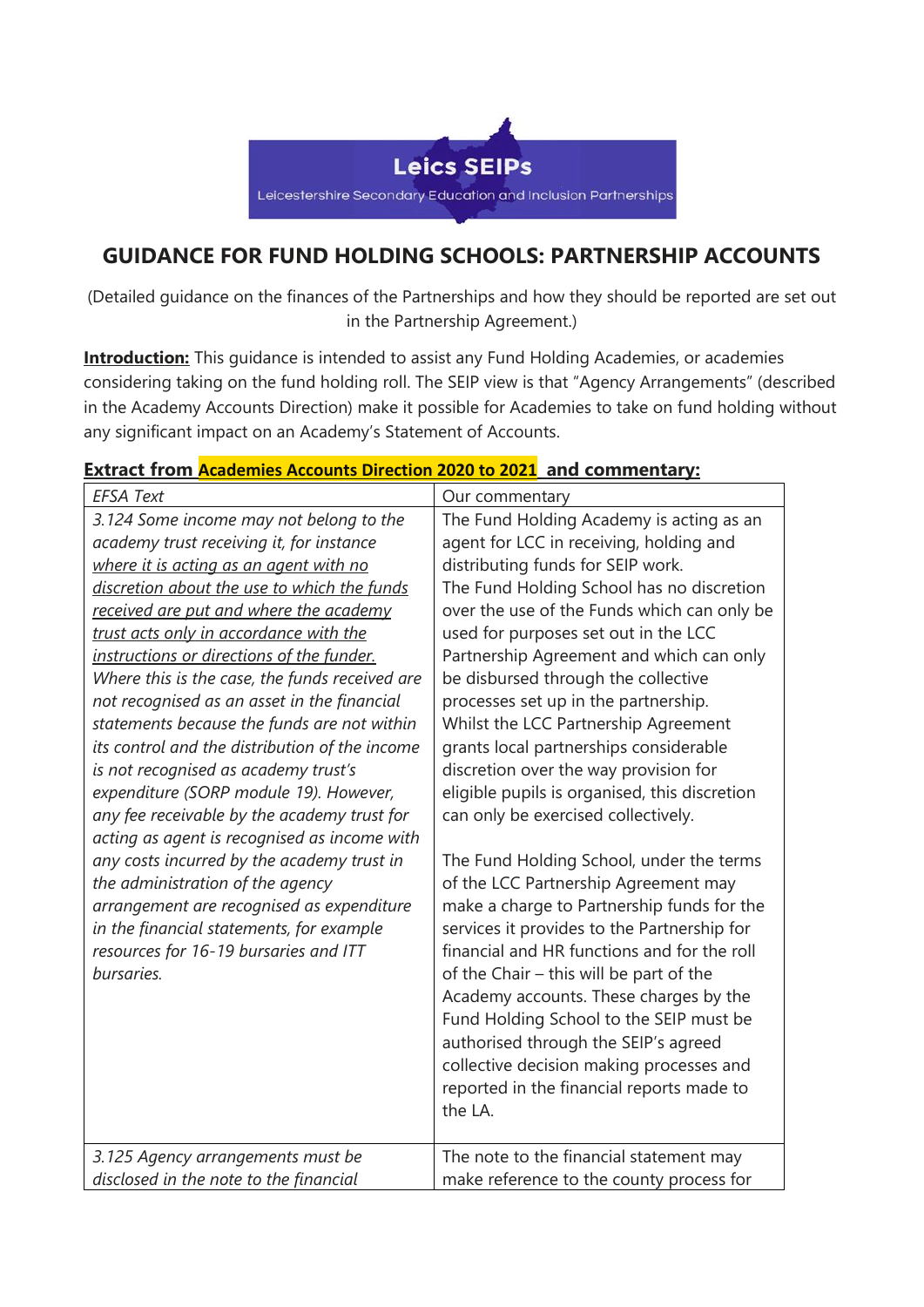

## **GUIDANCE FOR FUND HOLDING SCHOOLS: PARTNERSHIP ACCOUNTS**

(Detailed guidance on the finances of the Partnerships and how they should be reported are set out in the Partnership Agreement.)

**Introduction:** This guidance is intended to assist any Fund Holding Academies, or academies considering taking on the fund holding roll. The SEIP view is that "Agency Arrangements" (described in the Academy Accounts Direction) make it possible for Academies to take on fund holding without any significant impact on an Academy's Statement of Accounts.

## **Extract from [Academies](https://assets.publishing.service.gov.uk/government/uploads/system/uploads/attachment_data/file/975322/Academies_Accounts_Direction_2020_to_2021.pdf) Accounts Direction 2020 to 2021 and commentary:**

| <b>EFSA Text</b>                                                                                                                                                                                                                                                                                                                                                                                               | Our commentary                                                                                                                                                                                                                                                                                                                                                                                                                                                                                           |
|----------------------------------------------------------------------------------------------------------------------------------------------------------------------------------------------------------------------------------------------------------------------------------------------------------------------------------------------------------------------------------------------------------------|----------------------------------------------------------------------------------------------------------------------------------------------------------------------------------------------------------------------------------------------------------------------------------------------------------------------------------------------------------------------------------------------------------------------------------------------------------------------------------------------------------|
| 3.124 Some income may not belong to the<br>academy trust receiving it, for instance<br>where it is acting as an agent with no<br>discretion about the use to which the funds<br>received are put and where the academy<br>trust acts only in accordance with the<br>instructions or directions of the funder.<br>Where this is the case, the funds received are<br>not recognised as an asset in the financial | The Fund Holding Academy is acting as an<br>agent for LCC in receiving, holding and<br>distributing funds for SEIP work.<br>The Fund Holding School has no discretion<br>over the use of the Funds which can only be<br>used for purposes set out in the LCC<br>Partnership Agreement and which can only<br>be disbursed through the collective<br>processes set up in the partnership.                                                                                                                  |
| statements because the funds are not within<br>its control and the distribution of the income<br>is not recognised as academy trust's<br>expenditure (SORP module 19). However,<br>any fee receivable by the academy trust for<br>acting as agent is recognised as income with                                                                                                                                 | Whilst the LCC Partnership Agreement<br>grants local partnerships considerable<br>discretion over the way provision for<br>eligible pupils is organised, this discretion<br>can only be exercised collectively.                                                                                                                                                                                                                                                                                          |
| any costs incurred by the academy trust in<br>the administration of the agency<br>arrangement are recognised as expenditure<br>in the financial statements, for example<br>resources for 16-19 bursaries and ITT<br>bursaries.                                                                                                                                                                                 | The Fund Holding School, under the terms<br>of the LCC Partnership Agreement may<br>make a charge to Partnership funds for the<br>services it provides to the Partnership for<br>financial and HR functions and for the roll<br>of the Chair - this will be part of the<br>Academy accounts. These charges by the<br>Fund Holding School to the SEIP must be<br>authorised through the SEIP's agreed<br>collective decision making processes and<br>reported in the financial reports made to<br>the LA. |
| 3.125 Agency arrangements must be<br>disclosed in the note to the financial                                                                                                                                                                                                                                                                                                                                    | The note to the financial statement may<br>make reference to the county process for                                                                                                                                                                                                                                                                                                                                                                                                                      |